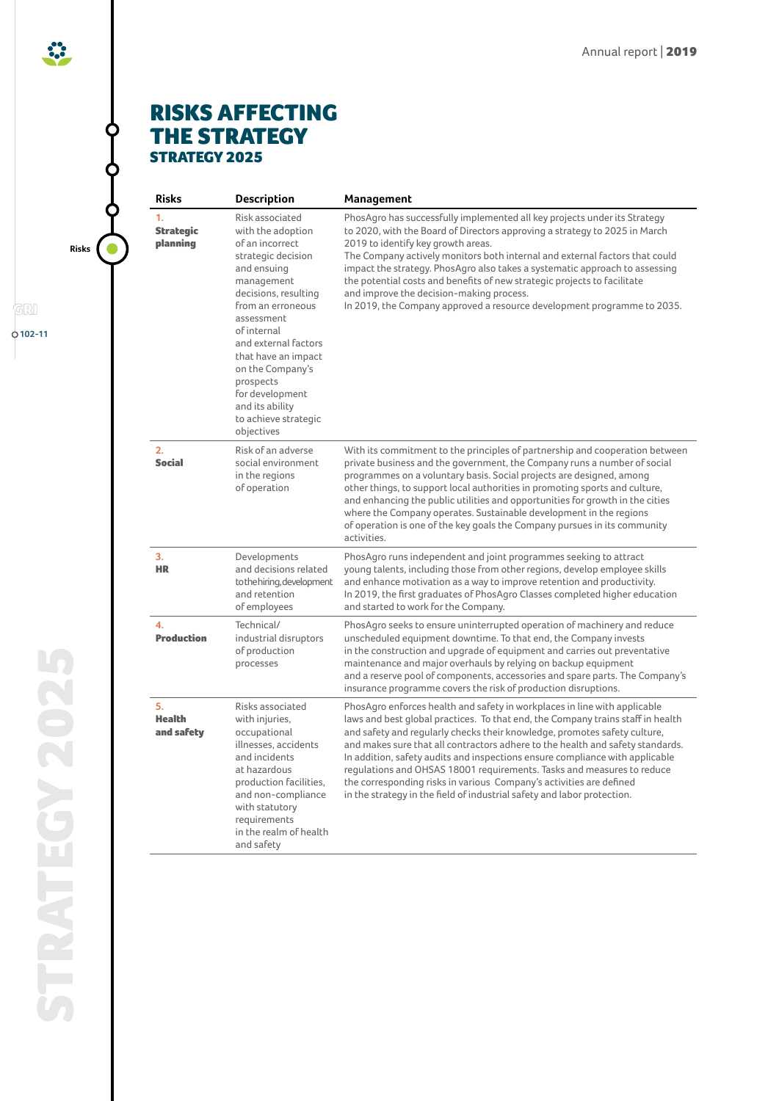

## RISKS AFFECTING THE STRATEGY STRATEGY 2025

**Risks** O

GRI

**102-11**

| <b>Risks</b>                       | Description                                                                                                                                                                                                                                                                                                                                      | Management                                                                                                                                                                                                                                                                                                                                                                                                                                                                                                                                                                                                                              |
|------------------------------------|--------------------------------------------------------------------------------------------------------------------------------------------------------------------------------------------------------------------------------------------------------------------------------------------------------------------------------------------------|-----------------------------------------------------------------------------------------------------------------------------------------------------------------------------------------------------------------------------------------------------------------------------------------------------------------------------------------------------------------------------------------------------------------------------------------------------------------------------------------------------------------------------------------------------------------------------------------------------------------------------------------|
| 1.<br><b>Strategic</b><br>planning | Risk associated<br>with the adoption<br>of an incorrect<br>strategic decision<br>and ensuing<br>management<br>decisions, resulting<br>from an erroneous<br>assessment<br>of internal<br>and external factors<br>that have an impact<br>on the Company's<br>prospects<br>for development<br>and its ability<br>to achieve strategic<br>objectives | PhosAgro has successfully implemented all key projects under its Strategy<br>to 2020, with the Board of Directors approving a strategy to 2025 in March<br>2019 to identify key growth areas.<br>The Company actively monitors both internal and external factors that could<br>impact the strategy. PhosAgro also takes a systematic approach to assessing<br>the potential costs and benefits of new strategic projects to facilitate<br>and improve the decision-making process.<br>In 2019, the Company approved a resource development programme to 2035.                                                                          |
| 2.<br><b>Social</b>                | Risk of an adverse<br>social environment<br>in the regions<br>of operation                                                                                                                                                                                                                                                                       | With its commitment to the principles of partnership and cooperation between<br>private business and the government, the Company runs a number of social<br>programmes on a voluntary basis. Social projects are designed, among<br>other things, to support local authorities in promoting sports and culture,<br>and enhancing the public utilities and opportunities for growth in the cities<br>where the Company operates. Sustainable development in the regions<br>of operation is one of the key goals the Company pursues in its community<br>activities.                                                                      |
| 3.<br><b>HR</b>                    | Developments<br>and decisions related<br>to the hiring, development<br>and retention<br>of employees                                                                                                                                                                                                                                             | PhosAgro runs independent and joint programmes seeking to attract<br>young talents, including those from other regions, develop employee skills<br>and enhance motivation as a way to improve retention and productivity.<br>In 2019, the first graduates of PhosAgro Classes completed higher education<br>and started to work for the Company.                                                                                                                                                                                                                                                                                        |
| 4.<br><b>Production</b>            | Technical/<br>industrial disruptors<br>of production<br>processes                                                                                                                                                                                                                                                                                | PhosAgro seeks to ensure uninterrupted operation of machinery and reduce<br>unscheduled equipment downtime. To that end, the Company invests<br>in the construction and upgrade of equipment and carries out preventative<br>maintenance and major overhauls by relying on backup equipment<br>and a reserve pool of components, accessories and spare parts. The Company's<br>insurance programme covers the risk of production disruptions.                                                                                                                                                                                           |
| 5.<br><b>Health</b><br>and safety  | Risks associated<br>with injuries,<br>occupational<br>illnesses, accidents<br>and incidents<br>at hazardous<br>production facilities,<br>and non-compliance<br>with statutory<br>requirements<br>in the realm of health<br>and safety                                                                                                            | PhosAgro enforces health and safety in workplaces in line with applicable<br>laws and best global practices. To that end, the Company trains staff in health<br>and safety and regularly checks their knowledge, promotes safety culture,<br>and makes sure that all contractors adhere to the health and safety standards.<br>In addition, safety audits and inspections ensure compliance with applicable<br>regulations and OHSAS 18001 requirements. Tasks and measures to reduce<br>the corresponding risks in various Company's activities are defined<br>in the strategy in the field of industrial safety and labor protection. |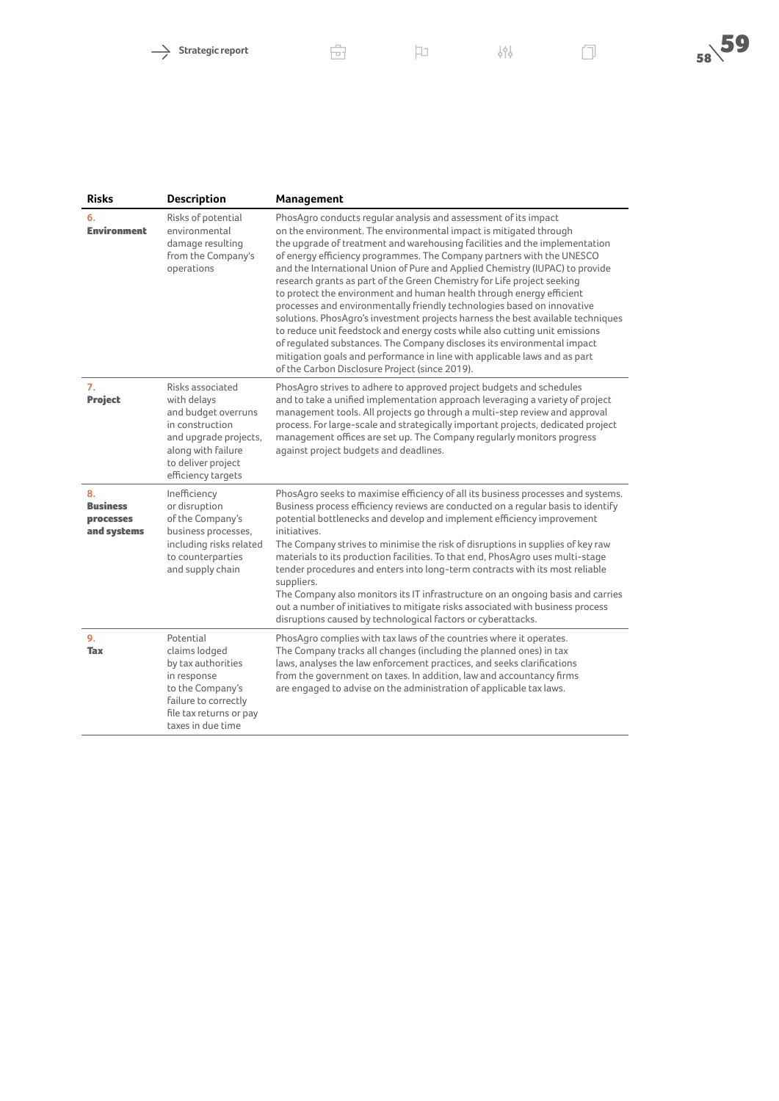| <b>Risks</b>                                      | <b>Description</b>                                                                                                                                                   | Management                                                                                                                                                                                                                                                                                                                                                                                                                                                                                                                                                                                                                                                                                                                                                                                                                                                                                                                                                                            |
|---------------------------------------------------|----------------------------------------------------------------------------------------------------------------------------------------------------------------------|---------------------------------------------------------------------------------------------------------------------------------------------------------------------------------------------------------------------------------------------------------------------------------------------------------------------------------------------------------------------------------------------------------------------------------------------------------------------------------------------------------------------------------------------------------------------------------------------------------------------------------------------------------------------------------------------------------------------------------------------------------------------------------------------------------------------------------------------------------------------------------------------------------------------------------------------------------------------------------------|
| 6.<br><b>Environment</b>                          | Risks of potential<br>environmental<br>damage resulting<br>from the Company's<br>operations                                                                          | PhosAgro conducts regular analysis and assessment of its impact<br>on the environment. The environmental impact is mitigated through<br>the upgrade of treatment and warehousing facilities and the implementation<br>of energy efficiency programmes. The Company partners with the UNESCO<br>and the International Union of Pure and Applied Chemistry (IUPAC) to provide<br>research grants as part of the Green Chemistry for Life project seeking<br>to protect the environment and human health through energy efficient<br>processes and environmentally friendly technologies based on innovative<br>solutions. PhosAgro's investment projects harness the best available techniques<br>to reduce unit feedstock and energy costs while also cutting unit emissions<br>of regulated substances. The Company discloses its environmental impact<br>mitigation goals and performance in line with applicable laws and as part<br>of the Carbon Disclosure Project (since 2019). |
| 7.<br><b>Project</b>                              | Risks associated<br>with delays<br>and budget overruns<br>in construction<br>and upgrade projects,<br>along with failure<br>to deliver project<br>efficiency targets | PhosAgro strives to adhere to approved project budgets and schedules<br>and to take a unified implementation approach leveraging a variety of project<br>management tools. All projects go through a multi-step review and approval<br>process. For large-scale and strategically important projects, dedicated project<br>management offices are set up. The Company regularly monitors progress<br>against project budgets and deadlines.                                                                                                                                                                                                                                                                                                                                                                                                                                                                                                                                           |
| 8.<br><b>Business</b><br>processes<br>and systems | Inefficiency<br>or disruption<br>of the Company's<br>business processes,<br>including risks related<br>to counterparties<br>and supply chain                         | PhosAgro seeks to maximise efficiency of all its business processes and systems.<br>Business process efficiency reviews are conducted on a regular basis to identify<br>potential bottlenecks and develop and implement efficiency improvement<br>initiatives.<br>The Company strives to minimise the risk of disruptions in supplies of key raw<br>materials to its production facilities. To that end, PhosAgro uses multi-stage<br>tender procedures and enters into long-term contracts with its most reliable<br>suppliers.<br>The Company also monitors its IT infrastructure on an ongoing basis and carries<br>out a number of initiatives to mitigate risks associated with business process<br>disruptions caused by technological factors or cyberattacks.                                                                                                                                                                                                                 |
| 9.<br><b>Tax</b>                                  | Potential<br>claims lodged<br>by tax authorities<br>in response<br>to the Company's<br>failure to correctly<br>file tax returns or pay<br>taxes in due time          | PhosAgro complies with tax laws of the countries where it operates.<br>The Company tracks all changes (including the planned ones) in tax<br>laws, analyses the law enforcement practices, and seeks clarifications<br>from the government on taxes. In addition, law and accountancy firms<br>are engaged to advise on the administration of applicable tax laws.                                                                                                                                                                                                                                                                                                                                                                                                                                                                                                                                                                                                                    |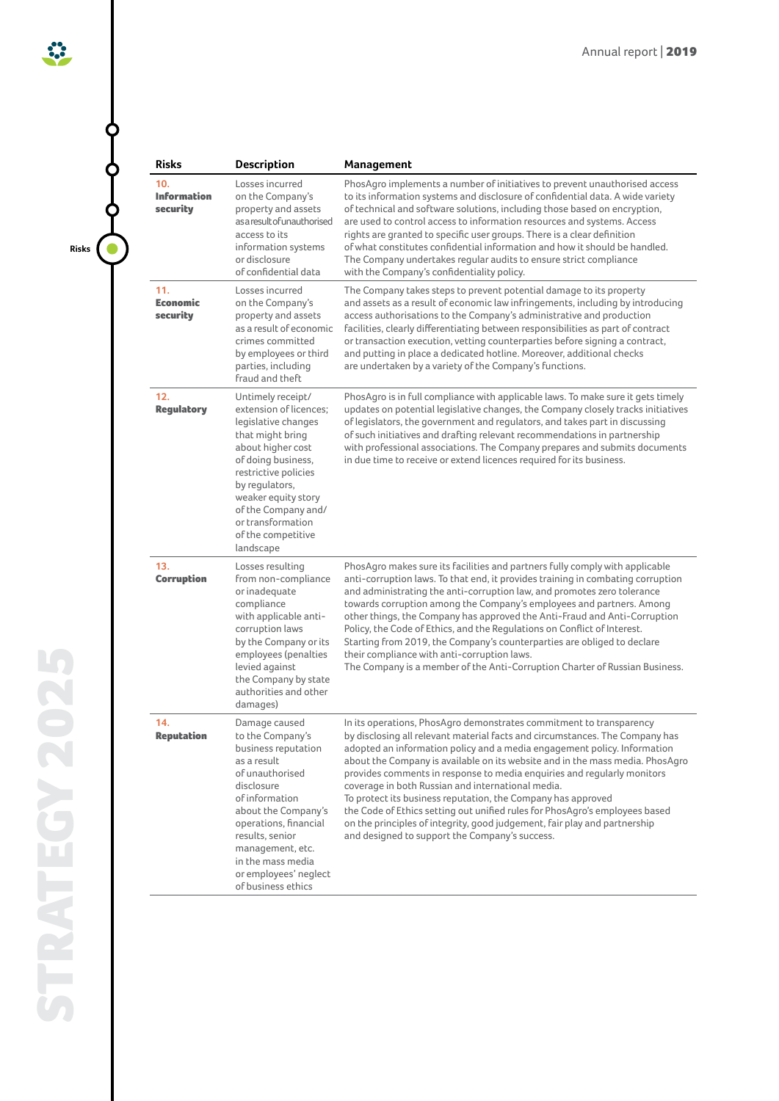**Risks**

 $\ddot{\cdot}$ 

| <b>Risks</b>                          | <b>Description</b>                                                                                                                                                                                                                                                                    | Management                                                                                                                                                                                                                                                                                                                                                                                                                                                                                                                                                                                                                                                                                                                     |
|---------------------------------------|---------------------------------------------------------------------------------------------------------------------------------------------------------------------------------------------------------------------------------------------------------------------------------------|--------------------------------------------------------------------------------------------------------------------------------------------------------------------------------------------------------------------------------------------------------------------------------------------------------------------------------------------------------------------------------------------------------------------------------------------------------------------------------------------------------------------------------------------------------------------------------------------------------------------------------------------------------------------------------------------------------------------------------|
| 10.<br><b>Information</b><br>security | Losses incurred<br>on the Company's<br>property and assets<br>as a result of unauthorised<br>access to its<br>information systems<br>or disclosure<br>of confidential data                                                                                                            | PhosAgro implements a number of initiatives to prevent unauthorised access<br>to its information systems and disclosure of confidential data. A wide variety<br>of technical and software solutions, including those based on encryption,<br>are used to control access to information resources and systems. Access<br>rights are granted to specific user groups. There is a clear definition<br>of what constitutes confidential information and how it should be handled.<br>The Company undertakes regular audits to ensure strict compliance<br>with the Company's confidentiality policy.                                                                                                                               |
| 11.<br><b>Economic</b><br>security    | Losses incurred<br>on the Company's<br>property and assets<br>as a result of economic<br>crimes committed<br>by employees or third<br>parties, including<br>fraud and theft                                                                                                           | The Company takes steps to prevent potential damage to its property<br>and assets as a result of economic law infringements, including by introducing<br>access authorisations to the Company's administrative and production<br>facilities, clearly differentiating between responsibilities as part of contract<br>or transaction execution, vetting counterparties before signing a contract,<br>and putting in place a dedicated hotline. Moreover, additional checks<br>are undertaken by a variety of the Company's functions.                                                                                                                                                                                           |
| 12.<br><b>Regulatory</b>              | Untimely receipt/<br>extension of licences;<br>legislative changes<br>that might bring<br>about higher cost<br>of doing business,<br>restrictive policies<br>by regulators,<br>weaker equity story<br>of the Company and/<br>or transformation<br>of the competitive<br>landscape     | PhosAgro is in full compliance with applicable laws. To make sure it gets timely<br>updates on potential legislative changes, the Company closely tracks initiatives<br>of legislators, the government and regulators, and takes part in discussing<br>of such initiatives and drafting relevant recommendations in partnership<br>with professional associations. The Company prepares and submits documents<br>in due time to receive or extend licences required for its business.                                                                                                                                                                                                                                          |
| 13.<br><b>Corruption</b>              | Losses resulting<br>from non-compliance<br>or inadequate<br>compliance<br>with applicable anti-<br>corruption laws<br>by the Company or its<br>employees (penalties<br>levied against<br>the Company by state<br>authorities and other<br>damages)                                    | PhosAgro makes sure its facilities and partners fully comply with applicable<br>anti-corruption laws. To that end, it provides training in combating corruption<br>and administrating the anti-corruption law, and promotes zero tolerance<br>towards corruption among the Company's employees and partners. Among<br>other things, the Company has approved the Anti-Fraud and Anti-Corruption<br>Policy, the Code of Ethics, and the Regulations on Conflict of Interest.<br>Starting from 2019, the Company's counterparties are obliged to declare<br>their compliance with anti-corruption laws.<br>The Company is a member of the Anti-Corruption Charter of Russian Business.                                           |
| 14.<br><b>Reputation</b>              | Damage caused<br>to the Company's<br>business reputation<br>as a result<br>of unauthorised<br>disclosure<br>of information<br>about the Company's<br>operations, financial<br>results, senior<br>management, etc.<br>in the mass media<br>or employees' neglect<br>of business ethics | In its operations, PhosAgro demonstrates commitment to transparency<br>by disclosing all relevant material facts and circumstances. The Company has<br>adopted an information policy and a media engagement policy. Information<br>about the Company is available on its website and in the mass media. PhosAgro<br>provides comments in response to media enquiries and regularly monitors<br>coverage in both Russian and international media.<br>To protect its business reputation, the Company has approved<br>the Code of Ethics setting out unified rules for PhosAgro's employees based<br>on the principles of integrity, good judgement, fair play and partnership<br>and designed to support the Company's success. |